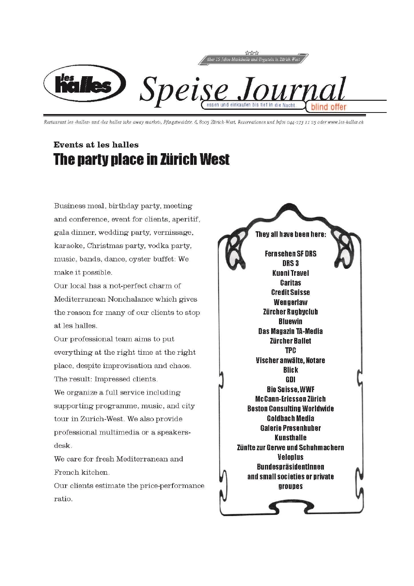

Restaurant les challes» und des halles take away market», Pfingstweidstr. 6,8005 Zürich-West, Reservationen und Infos 044-273 11 25 oder www.les-halles.ch

# **Events at les halles** The party place in Zürich West

Business meal, birthday party, meeting and conference, event for clients, aperitif, gala dinner, wedding party, vernissage, karaoke, Christmas party, vodka party, music, bands, dance, oyster buffet: We make it possible.

Our local has a not-perfect charm of Mediterranean Nonchalance which gives the reason for many of our clients to stop at les halles.

Our professional team aims to put everything at the right time at the right place, despite improvisation and chaos. The result: Impressed clients.

We organize a full service including supporting programme, music, and city tour in Zurich-West. We also provide professional multimedia or a speakersdesk.

We care for fresh Mediterranean and French kitchen.

Our clients estimate the price-performance ratio.

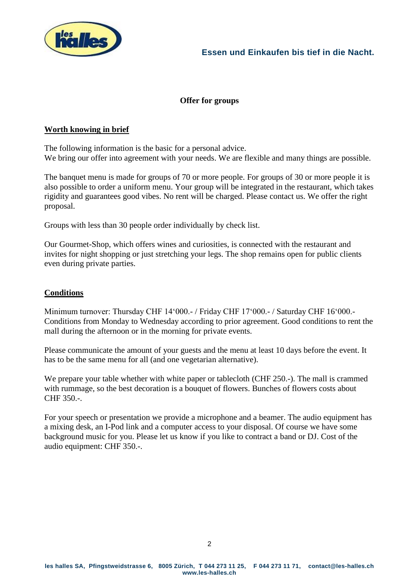

# **Offer for groups**

## **Worth knowing in brief**

The following information is the basic for a personal advice. We bring our offer into agreement with your needs. We are flexible and many things are possible.

The banquet menu is made for groups of 70 or more people. For groups of 30 or more people it is also possible to order a uniform menu. Your group will be integrated in the restaurant, which takes rigidity and guarantees good vibes. No rent will be charged. Please contact us. We offer the right proposal.

Groups with less than 30 people order individually by check list.

Our Gourmet-Shop, which offers wines and curiosities, is connected with the restaurant and invites for night shopping or just stretching your legs. The shop remains open for public clients even during private parties.

## **Conditions**

Minimum turnover: Thursday CHF 14'000.- / Friday CHF 17'000.- / Saturday CHF 16'000.- Conditions from Monday to Wednesday according to prior agreement. Good conditions to rent the mall during the afternoon or in the morning for private events.

Please communicate the amount of your guests and the menu at least 10 days before the event. It has to be the same menu for all (and one vegetarian alternative).

We prepare your table whether with white paper or tablecloth (CHF 250.-). The mall is crammed with rummage, so the best decoration is a bouquet of flowers. Bunches of flowers costs about CHF 350.-.

For your speech or presentation we provide a microphone and a beamer. The audio equipment has a mixing desk, an I-Pod link and a computer access to your disposal. Of course we have some background music for you. Please let us know if you like to contract a band or DJ. Cost of the audio equipment: CHF 350.-.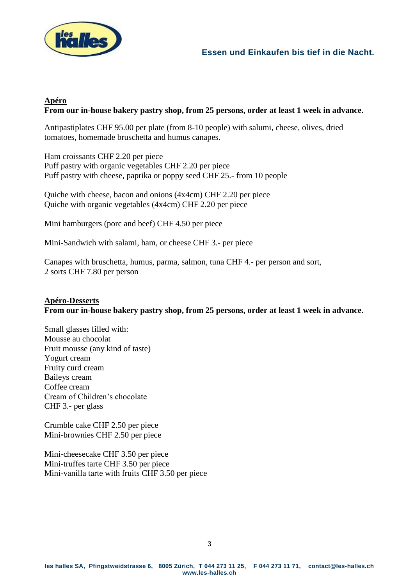

# **Apéro From our in-house bakery pastry shop, from 25 persons, order at least 1 week in advance.**

Antipastiplates CHF 95.00 per plate (from 8-10 people) with salumi, cheese, olives, dried tomatoes, homemade bruschetta and humus canapes.

Ham croissants CHF 2.20 per piece Puff pastry with organic vegetables CHF 2.20 per piece Puff pastry with cheese, paprika or poppy seed CHF 25.- from 10 people

Quiche with cheese, bacon and onions (4x4cm) CHF 2.20 per piece Quiche with organic vegetables (4x4cm) CHF 2.20 per piece

Mini hamburgers (porc and beef) CHF 4.50 per piece

Mini-Sandwich with salami, ham, or cheese CHF 3.- per piece

Canapes with bruschetta, humus, parma, salmon, tuna CHF 4.- per person and sort, 2 sorts CHF 7.80 per person

# **Apéro-Desserts From our in-house bakery pastry shop, from 25 persons, order at least 1 week in advance.**

Small glasses filled with: Mousse au chocolat Fruit mousse (any kind of taste) Yogurt cream Fruity curd cream Baileys cream Coffee cream Cream of Children's chocolate CHF 3.- per glass

Crumble cake CHF 2.50 per piece Mini-brownies CHF 2.50 per piece

Mini-cheesecake CHF 3.50 per piece Mini-truffes tarte CHF 3.50 per piece Mini-vanilla tarte with fruits CHF 3.50 per piece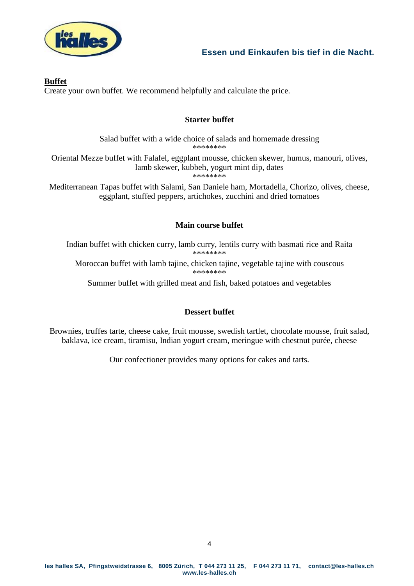

## **Buffet**

Create your own buffet. We recommend helpfully and calculate the price.

# **Starter buffet**

Salad buffet with a wide choice of salads and homemade dressing \*\*\*\*\*\*\*\* Oriental Mezze buffet with Falafel, eggplant mousse, chicken skewer, humus, manouri, olives, lamb skewer, kubbeh, yogurt mint dip, dates \*\*\*\*\*\*\*\*

Mediterranean Tapas buffet with Salami, San Daniele ham, Mortadella, Chorizo, olives, cheese, eggplant, stuffed peppers, artichokes, zucchini and dried tomatoes

# **Main course buffet**

Indian buffet with chicken curry, lamb curry, lentils curry with basmati rice and Raita \*\*\*\*\*\*\*\* Moroccan buffet with lamb tajine, chicken tajine, vegetable tajine with couscous

\*\*\*\*\*\*\*\*

Summer buffet with grilled meat and fish, baked potatoes and vegetables

# **Dessert buffet**

Brownies, truffes tarte, cheese cake, fruit mousse, swedish tartlet, chocolate mousse, fruit salad, baklava, ice cream, tiramisu, Indian yogurt cream, meringue with chestnut purée, cheese

Our confectioner provides many options for cakes and tarts.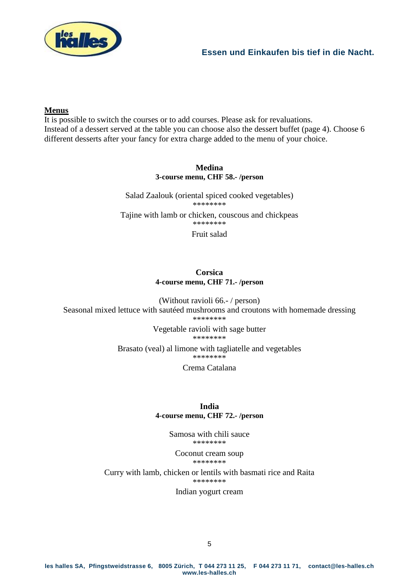

## **Menus**

It is possible to switch the courses or to add courses. Please ask for revaluations. Instead of a dessert served at the table you can choose also the dessert buffet (page 4). Choose 6 different desserts after your fancy for extra charge added to the menu of your choice.

#### **Medina 3-course menu, CHF 58.- /person**

Salad Zaalouk (oriental spiced cooked vegetables) \*\*\*\*\*\*\*\* Tajine with lamb or chicken, couscous and chickpeas \*\*\*\*\*\*\*\* Fruit salad

## **Corsica 4-course menu, CHF 71.- /person**

(Without ravioli 66.- / person) Seasonal mixed lettuce with sautéed mushrooms and croutons with homemade dressing \*\*\*\*\*\*\*\*

Vegetable ravioli with sage butter

\*\*\*\*\*\*\*\* Brasato (veal) al limone with tagliatelle and vegetables

\*\*\*\*\*\*\*\*

Crema Catalana

## **India 4-course menu, CHF 72.- /person**

Samosa with chili sauce \*\*\*\*\*\*\*\*

Coconut cream soup \*\*\*\*\*\*\*\*

Curry with lamb, chicken or lentils with basmati rice and Raita \*\*\*\*\*\*\*\*

Indian yogurt cream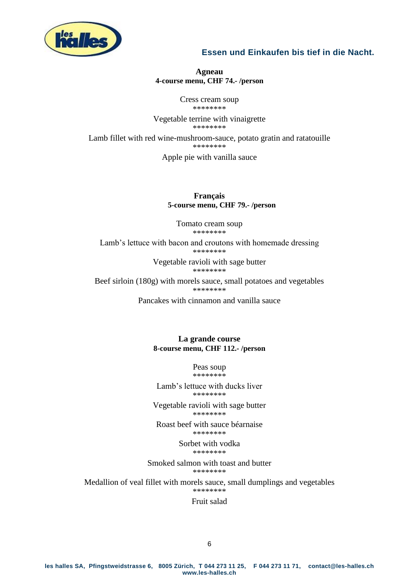

#### **Agneau 4-course menu, CHF 74.- /person**

Cress cream soup \*\*\*\*\*\*\*\*

Vegetable terrine with vinaigrette \*\*\*\*\*\*\*\*

Lamb fillet with red wine-mushroom-sauce, potato gratin and ratatouille \*\*\*\*\*\*\*\*

Apple pie with vanilla sauce

**Français 5-course menu, CHF 79.- /person**

Tomato cream soup \*\*\*\*\*\*\*\*

Lamb's lettuce with bacon and croutons with homemade dressing \*\*\*\*\*\*\*\*

> Vegetable ravioli with sage butter \*\*\*\*\*\*\*\*

Beef sirloin (180g) with morels sauce, small potatoes and vegetables \*\*\*\*\*\*\*\*

Pancakes with cinnamon and vanilla sauce

**La grande course 8-course menu, CHF 112.- /person**

> Peas soup \*\*\*\*\*\*\*\*

Lamb's lettuce with ducks liver \*\*\*\*\*\*\*\*

Vegetable ravioli with sage butter \*\*\*\*\*\*\*\*

Roast beef with sauce béarnaise \*\*\*\*\*\*\*\*

> Sorbet with vodka \*\*\*\*\*\*\*\*

Smoked salmon with toast and butter \*\*\*\*\*\*\*\*

Medallion of veal fillet with morels sauce, small dumplings and vegetables \*\*\*\*\*\*\*\*

#### Fruit salad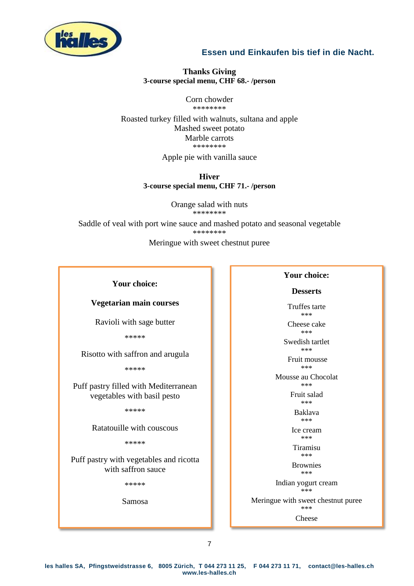

#### **Thanks Giving 3-course special menu, CHF 68.- /person**

Corn chowder \*\*\*\*\*\*\*\*

Roasted turkey filled with walnuts, sultana and apple Mashed sweet potato Marble carrots \*\*\*\*\*\*\*\*

Apple pie with vanilla sauce

#### **Hiver 3-course special menu, CHF 71.- /person**

Orange salad with nuts \*\*\*\*\*\*\*\*

Saddle of veal with port wine sauce and mashed potato and seasonal vegetable \*\*\*\*\*\*\*\*

Meringue with sweet chestnut puree

## **Your choice:**

## **Vegetarian main courses**

Ravioli with sage butter

\*\*\*\*\*

Risotto with saffron and arugula

\*\*\*\*\*

Puff pastry filled with Mediterranean vegetables with basil pesto

\*\*\*\*\*

Ratatouille with couscous

\*\*\*\*\*

Puff pastry with vegetables and ricotta with saffron sauce

\*\*\*\*\*

Samosa

#### **Your choice:**

#### **Desserts**

Truffes tarte \*\*\*

Cheese cake \*\*\*

Swedish tartlet \*\*\*

Fruit mousse

\*\*\* Mousse au Chocolat

> \*\*\* Fruit salad \*\*\*

> > Baklava \*\*\*

Ice cream \*\*\*

Tiramisu \*\*\*

Brownies \*\*\*

Indian yogurt cream

\*\*\*

Meringue with sweet chestnut puree \*\*\*

Cheese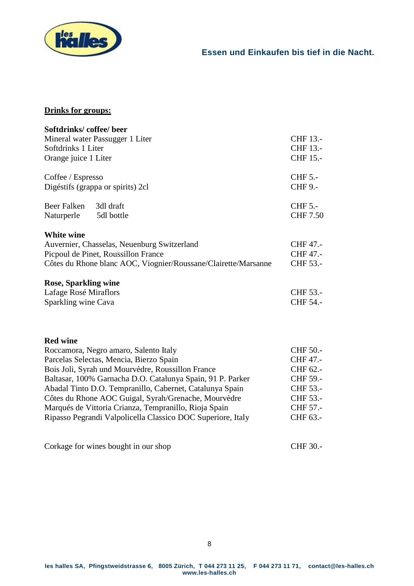

# **Drinks for groups:**

| Softdrinks/coffee/beer                                                                                                                               |                                         |
|------------------------------------------------------------------------------------------------------------------------------------------------------|-----------------------------------------|
| Mineral water Passugger 1 Liter<br>Softdrinks 1 Liter<br>Orange juice 1 Liter                                                                        | CHF 13.-<br>CHF 13.-<br><b>CHF 15.-</b> |
|                                                                                                                                                      |                                         |
| Coffee / Espresso<br>Digéstifs (grappa or spirits) 2cl                                                                                               | <b>CHF 5.-</b><br><b>CHF 9.-</b>        |
| <b>Beer Falken</b><br>3dl draft<br>5dl bottle<br>Naturperle                                                                                          | <b>CHF 5.-</b><br><b>CHF 7.50</b>       |
| White wine                                                                                                                                           |                                         |
| Auvernier, Chasselas, Neuenburg Switzerland<br>Picpoul de Pinet, Roussillon France<br>Côtes du Rhone blanc AOC, Viognier/Roussane/Clairette/Marsanne | CHF 47.-<br>CHF 47.-<br>CHF 53.-        |
| <b>Rose, Sparkling wine</b>                                                                                                                          |                                         |
| Lafage Rosé Miraflors                                                                                                                                | CHF 53.-                                |
| Sparkling wine Cava                                                                                                                                  | CHF 54.-                                |
| <b>Red wine</b>                                                                                                                                      |                                         |
| Roccamora, Negro amaro, Salento Italy                                                                                                                | CHF 50.-                                |
| Parcelas Selectas, Mencia, Bierzo Spain                                                                                                              | CHF 47.-                                |
| Bois Joli, Syrah und Mourvèdre, Roussillon France                                                                                                    | CHF 62.-                                |
| Baltasar, 100% Garnacha D.O. Catalunya Spain, 91 P. Parker                                                                                           | CHF 59.-                                |
| Abadal Tinto D.O. Tempranillo, Cabernet, Catalunya Spain                                                                                             | CHF 53.-                                |
| Côtes du Rhone AOC Guigal, Syrah/Grenache, Mourvèdre                                                                                                 | CHF 53.-                                |
| Marqués de Vittoria Crianza, Tempranillo, Rioja Spain                                                                                                | CHF 57.-                                |
| Ripasso Pegrandi Valpolicella Classico DOC Superiore, Italy                                                                                          | CHF 63.-                                |
| Corkage for wines bought in our shop                                                                                                                 | CHF 30.-                                |